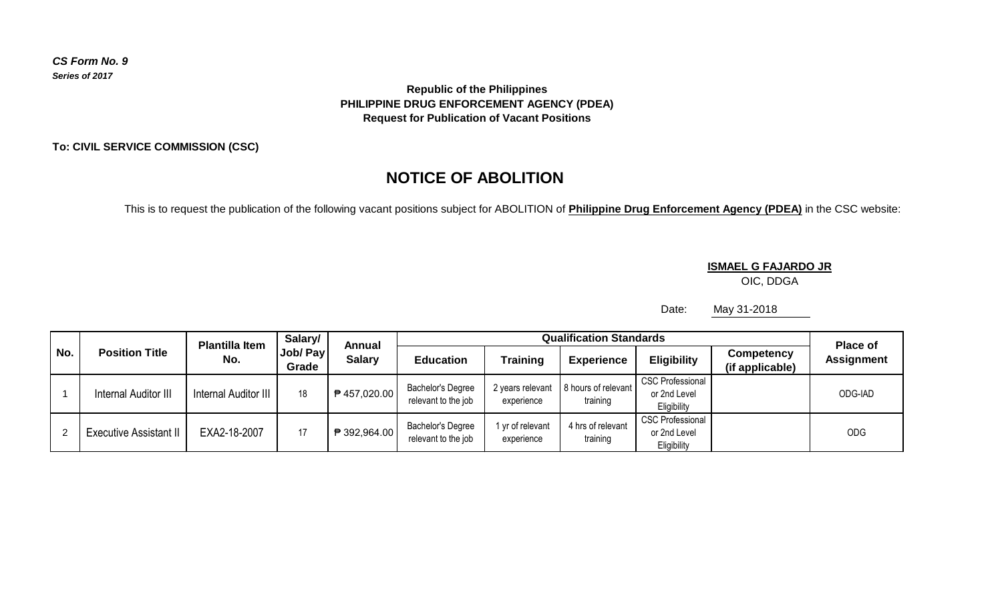### *CS Form No. 9 Series of 2017*

## **Republic of the Philippines PHILIPPINE DRUG ENFORCEMENT AGENCY (PDEA) Request for Publication of Vacant Positions**

**To: CIVIL SERVICE COMMISSION (CSC)**

# **NOTICE OF ABOLITION**

This is to request the publication of the following vacant positions subject for ABOLITION of **Philippine Drug Enforcement Agency (PDEA)** in the CSC website:

### **ISMAEL G FAJARDO JR**

OIC, DDGA

Date: May 31-2018

| No. | <b>Position Title</b>         | <b>Plantilla Item</b><br>No. | Salary/<br>Job/ Pay<br>Grade | Annual<br><b>Salary</b> |                                                 | <b>Place of</b>                |                                 |                                                        |                                      |                   |
|-----|-------------------------------|------------------------------|------------------------------|-------------------------|-------------------------------------------------|--------------------------------|---------------------------------|--------------------------------------------------------|--------------------------------------|-------------------|
|     |                               |                              |                              |                         | <b>Education</b>                                | Training                       | <b>Experience</b>               | <b>Eligibility</b>                                     | <b>Competency</b><br>(if applicable) | <b>Assignment</b> |
|     | Internal Auditor III          | Internal Auditor III         | 18                           | ₱ 457,020.00            | <b>Bachelor's Degree</b><br>relevant to the job | 2 years relevant<br>experience | 8 hours of relevant<br>training | <b>CSC Professional</b><br>or 2nd Level<br>Eligibility |                                      | ODG-IAD           |
|     | <b>Executive Assistant II</b> | EXA2-18-2007                 | 17                           | ₱ 392,964.00            | Bachelor's Degree<br>relevant to the job        | I yr of relevant<br>experience | 4 hrs of relevant<br>training   | <b>CSC Professional</b><br>or 2nd Level<br>Eligibility |                                      | ODG               |